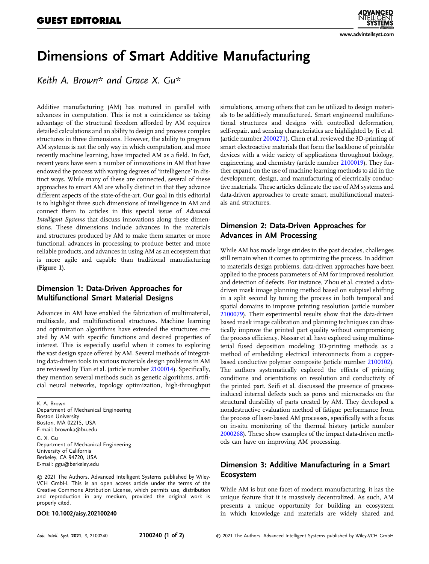# Dimensions of Smart Additive Manufacturing

Keith A. Brown\* and Grace X. Gu\*

Additive manufacturing (AM) has matured in parallel with advances in computation. This is not a coincidence as taking advantage of the structural freedom afforded by AM requires detailed calculations and an ability to design and process complex structures in three dimensions. However, the ability to program AM systems is not the only way in which computation, and more recently machine learning, have impacted AM as a field. In fact, recent years have seen a number of innovations in AM that have endowed the process with varying degrees of 'intelligence' in distinct ways. While many of these are connected, several of these approaches to smart AM are wholly distinct in that they advance different aspects of the state-of-the-art. Our goal in this editorial is to highlight three such dimensions of intelligence in AM and connect them to articles in this special issue of Advanced Intelligent Systems that discuss innovations along these dimensions. These dimensions include advances in the materials and structures produced by AM to make them smarter or more functional, advances in processing to produce better and more reliable products, and advances in using AM as an ecosystem that is more agile and capable than traditional manufacturing (Figure 1).

## Dimension 1: Data-Driven Approaches for Multifunctional Smart Material Designs

Advances in AM have enabled the fabrication of multimaterial, multiscale, and multifunctional structures. Machine learning and optimization algorithms have extended the structures created by AM with specific functions and desired properties of interest. This is especially useful when it comes to exploring the vast design space offered by AM. Several methods of integrating data-driven tools in various materials design problems in AM are reviewed by Tian et al. (article number [2100014\)](https://doi.org/10.1002/aisy.202100014). Specifically, they mention several methods such as genetic algorithms, artificial neural networks, topology optimization, high-throughput

K. A. Brown Department of Mechanical Engineering Boston University Boston, MA 02215, USA E-mail: [brownka@bu.edu](mailto:brownka@bu.edu) G. X. Gu Department of Mechanical Engineering University of California Berkeley, CA 94720, USA

E-mail: [ggu@berkeley.edu](mailto:ggu@berkeley.edu)

© 2021 The Authors. Advanced Intelligent Systems published by Wiley-VCH GmbH. This is an open access article under the terms of the [Creative Commons Attribution](http://creativecommons.org/licenses/by/4.0/) License, which permits use, distribution and reproduction in any medium, provided the original work is properly cited.

#### DOI: 10.1002/aisy.202100240

simulations, among others that can be utilized to design materials to be additively manufactured. Smart engineered multifunctional structures and designs with controlled deformation, self-repair, and sensing characteristics are highlighted by Ji et al. (article number [2000271\)](https://doi.org/10.1002/aisy.202000271). Chen et al. reviewed the 3D-printing of smart electroactive materials that form the backbone of printable devices with a wide variety of applications throughout biology, engineering, and chemistry (article number [2100019\)](https://doi.org/10.1002/aisy.202100019). They further expand on the use of machine learning methods to aid in the development, design, and manufacturing of electrically conductive materials. These articles delineate the use of AM systems and data-driven approaches to create smart, multifunctional materials and structures.

### Dimension 2: Data-Driven Approaches for Advances in AM Processing

While AM has made large strides in the past decades, challenges still remain when it comes to optimizing the process. In addition to materials design problems, data-driven approaches have been applied to the process parameters of AM for improved resolution and detection of defects. For instance, Zhou et al. created a datadriven mask image planning method based on subpixel shifting in a split second by tuning the process in both temporal and spatial domains to improve printing resolution (article number [2100079](https://doi.org/10.1002/aisy.202100079)). Their experimental results show that the data-driven based mask image calibration and planning techniques can drastically improve the printed part quality without compromising the process efficiency. Nassar et al. have explored using multimaterial fused deposition modeling 3D-printing methods as a method of embedding electrical interconnects from a copperbased conductive polymer composite (article number [2100102](https://doi.org/10.1002/aisy.202100102)). The authors systematically explored the effects of printing conditions and orientations on resolution and conductivity of the printed part. Seifi et al. discussed the presence of processinduced internal defects such as pores and microcracks on the structural durability of parts created by AM. They developed a nondestructive evaluation method of fatigue performance from the process of laser-based AM processes, specifically with a focus on in-situ monitoring of the thermal history (article number [2000268](https://doi.org/10.1002/aisy.202000268)). These show examples of the impact data-driven methods can have on improving AM processing.

### Dimension 3: Additive Manufacturing in a Smart Ecosystem

While AM is but one facet of modern manufacturing, it has the unique feature that it is massively decentralized. As such, AM presents a unique opportunity for building an ecosystem in which knowledge and materials are widely shared and